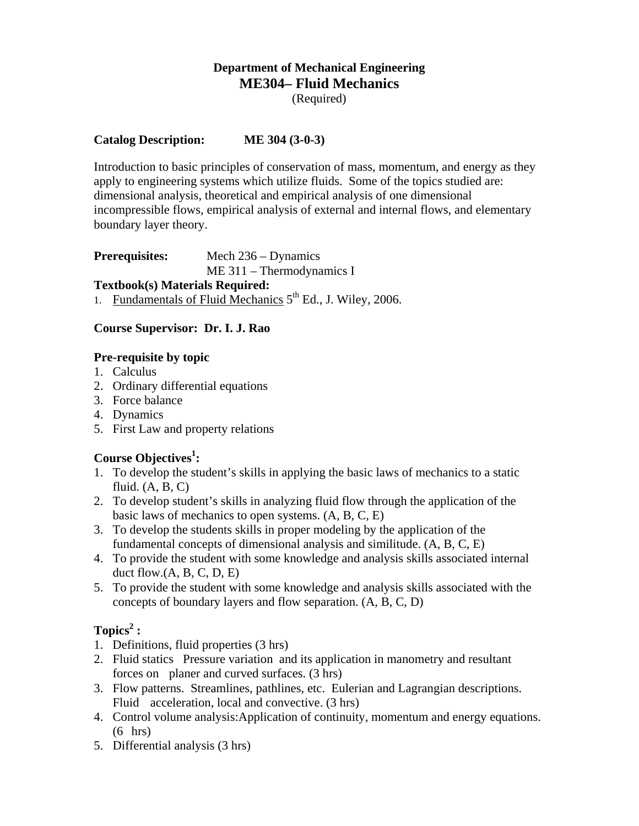#### **Department of Mechanical Engineering ME304– Fluid Mechanics**  (Required)

#### **Catalog Description: ME 304 (3-0-3)**

Introduction to basic principles of conservation of mass, momentum, and energy as they apply to engineering systems which utilize fluids. Some of the topics studied are: dimensional analysis, theoretical and empirical analysis of one dimensional incompressible flows, empirical analysis of external and internal flows, and elementary boundary layer theory.

#### **Prerequisites:** Mech 236 – Dynamics ME 311 – Thermodynamics I

#### **Textbook(s) Materials Required:**

1. Fundamentals of Fluid Mechanics  $5<sup>th</sup>$  Ed., J. Wiley, 2006.

#### **Course Supervisor: Dr. I. J. Rao**

#### **Pre-requisite by topic**

- 1. Calculus
- 2. Ordinary differential equations
- 3. Force balance
- 4. Dynamics
- 5. First Law and property relations

### Course Objectives<sup>1</sup>:

- 1. To develop the student's skills in applying the basic laws of mechanics to a static fluid.  $(A, B, C)$
- 2. To develop student's skills in analyzing fluid flow through the application of the basic laws of mechanics to open systems. (A, B, C, E)
- 3. To develop the students skills in proper modeling by the application of the fundamental concepts of dimensional analysis and similitude. (A, B, C, E)
- 4. To provide the student with some knowledge and analysis skills associated internal duct flow. $(A, B, C, D, E)$
- 5. To provide the student with some knowledge and analysis skills associated with the concepts of boundary layers and flow separation. (A, B, C, D)

# $\text{Topics}^2$  :

- 1. Definitions, fluid properties (3 hrs)
- 2. Fluid statics Pressure variation and its application in manometry and resultant forces on planer and curved surfaces. (3 hrs)
- 3. Flow patterns. Streamlines, pathlines, etc. Eulerian and Lagrangian descriptions. Fluid acceleration, local and convective. (3 hrs)
- 4. Control volume analysis:Application of continuity, momentum and energy equations. (6 hrs)
- 5. Differential analysis (3 hrs)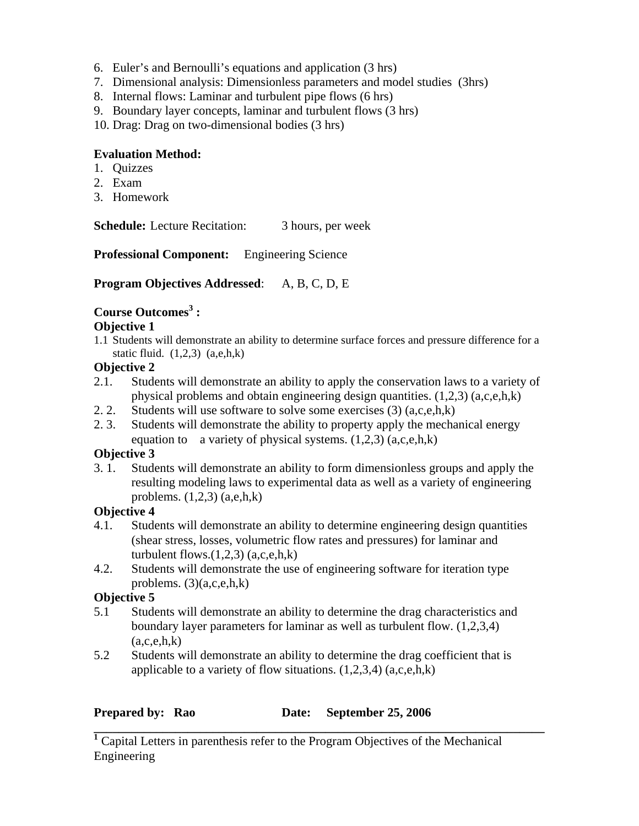- 6. Euler's and Bernoulli's equations and application (3 hrs)
- 7. Dimensional analysis: Dimensionless parameters and model studies (3hrs)
- 8. Internal flows: Laminar and turbulent pipe flows (6 hrs)
- 9. Boundary layer concepts, laminar and turbulent flows (3 hrs)
- 10. Drag: Drag on two-dimensional bodies (3 hrs)

### **Evaluation Method:**

- 1. Quizzes
- 2. Exam
- 3. Homework

**Schedule:** Lecture Recitation: 3 hours, per week

**Professional Component:** Engineering Science

**Program Objectives Addressed**: A, B, C, D, E

# **Course Outcomes<sup>3</sup> :**

### **Objective 1**

1.1 Students will demonstrate an ability to determine surface forces and pressure difference for a static fluid.  $(1,2,3)$   $(a,e,h,k)$ 

# **Objective 2**

- 2.1. Students will demonstrate an ability to apply the conservation laws to a variety of physical problems and obtain engineering design quantities. (1,2,3) (a,c,e,h,k)
- 2. 2. Students will use software to solve some exercises  $(3)$   $(a,c,e,h,k)$
- 2. 3. Students will demonstrate the ability to property apply the mechanical energy equation to a variety of physical systems.  $(1,2,3)$   $(a,c,e,h,k)$

# **Objective 3**

3. 1. Students will demonstrate an ability to form dimensionless groups and apply the resulting modeling laws to experimental data as well as a variety of engineering problems.  $(1,2,3)$   $(a,e,h,k)$ 

# **Objective 4**

- 4.1. Students will demonstrate an ability to determine engineering design quantities (shear stress, losses, volumetric flow rates and pressures) for laminar and turbulent flows. $(1,2,3)$   $(a,c,e,h,k)$
- 4.2. Students will demonstrate the use of engineering software for iteration type problems.  $(3)(a,c,e,h,k)$

# **Objective 5**

- 5.1 Students will demonstrate an ability to determine the drag characteristics and boundary layer parameters for laminar as well as turbulent flow. (1,2,3,4)  $(a,c,e,h,k)$
- 5.2 Students will demonstrate an ability to determine the drag coefficient that is applicable to a variety of flow situations.  $(1,2,3,4)$   $(a,c,e,h,k)$

#### **Prepared by:** Rao Date: September 25, 2006

**<sup>1</sup>** Capital Letters in parenthesis refer to the Program Objectives of the Mechanical Engineering

**\_\_\_\_\_\_\_\_\_\_\_\_\_\_\_\_\_\_\_\_\_\_\_\_\_\_\_\_\_\_\_\_\_\_\_\_\_\_\_\_\_\_\_\_\_\_\_\_\_\_\_\_\_\_\_\_\_\_\_\_\_\_\_\_\_\_\_\_\_\_\_\_**